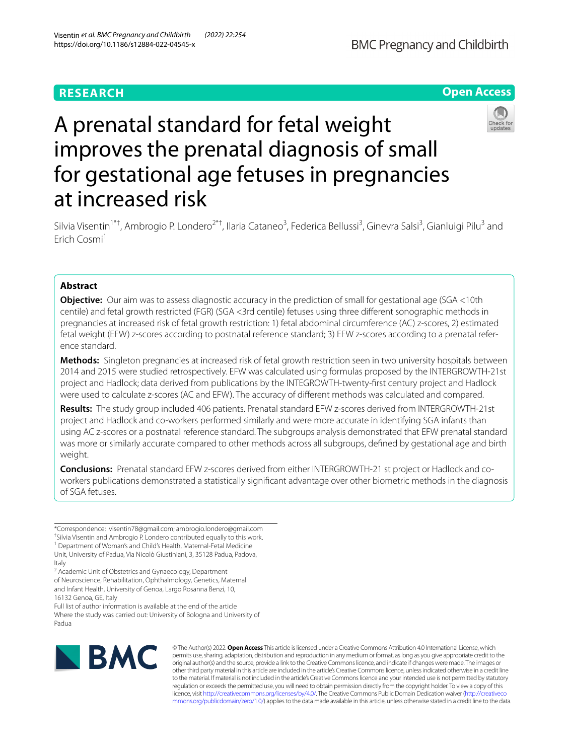# **RESEARCH**



# A prenatal standard for fetal weight improves the prenatal diagnosis of small for gestational age fetuses in pregnancies at increased risk



Silvia Visentin<sup>1\*†</sup>, Ambrogio P. Londero<sup>2\*†</sup>, Ilaria Cataneo<sup>3</sup>, Federica Bellussi<sup>3</sup>, Ginevra Salsi<sup>3</sup>, Gianluigi Pilu<sup>3</sup> and Erich Cosmi<sup>1</sup>

# **Abstract**

**Objective:** Our aim was to assess diagnostic accuracy in the prediction of small for gestational age (SGA <10th centile) and fetal growth restricted (FGR) (SGA <3rd centile) fetuses using three diferent sonographic methods in pregnancies at increased risk of fetal growth restriction: 1) fetal abdominal circumference (AC) z-scores, 2) estimated fetal weight (EFW) z-scores according to postnatal reference standard; 3) EFW z-scores according to a prenatal reference standard.

**Methods:** Singleton pregnancies at increased risk of fetal growth restriction seen in two university hospitals between 2014 and 2015 were studied retrospectively. EFW was calculated using formulas proposed by the INTERGROWTH-21st project and Hadlock; data derived from publications by the INTEGROWTH-twenty-frst century project and Hadlock were used to calculate z-scores (AC and EFW). The accuracy of diferent methods was calculated and compared.

**Results:** The study group included 406 patients. Prenatal standard EFW z-scores derived from INTERGROWTH-21st project and Hadlock and co-workers performed similarly and were more accurate in identifying SGA infants than using AC z-scores or a postnatal reference standard. The subgroups analysis demonstrated that EFW prenatal standard was more or similarly accurate compared to other methods across all subgroups, defned by gestational age and birth weight.

**Conclusions:** Prenatal standard EFW z-scores derived from either INTERGROWTH-21 st project or Hadlock and coworkers publications demonstrated a statistically signifcant advantage over other biometric methods in the diagnosis of SGA fetuses.

\*Correspondence: visentin78@gmail.com; ambrogio.londero@gmail.com

† Silvia Visentin and Ambrogio P. Londero contributed equally to this work.

<sup>1</sup> Department of Woman's and Child's Health, Maternal-Fetal Medicine Unit, University of Padua, Via Nicolò Giustiniani, 3, 35128 Padua, Padova, Italy

<sup>2</sup> Academic Unit of Obstetrics and Gynaecology, Department of Neuroscience, Rehabilitation, Ophthalmology, Genetics, Maternal and Infant Health, University of Genoa, Largo Rosanna Benzi, 10, 16132 Genoa, GE, Italy

Full list of author information is available at the end of the article Where the study was carried out: University of Bologna and University of Padua



© The Author(s) 2022. **Open Access** This article is licensed under a Creative Commons Attribution 4.0 International License, which permits use, sharing, adaptation, distribution and reproduction in any medium or format, as long as you give appropriate credit to the original author(s) and the source, provide a link to the Creative Commons licence, and indicate if changes were made. The images or other third party material in this article are included in the article's Creative Commons licence, unless indicated otherwise in a credit line to the material. If material is not included in the article's Creative Commons licence and your intended use is not permitted by statutory regulation or exceeds the permitted use, you will need to obtain permission directly from the copyright holder. To view a copy of this licence, visit [http://creativecommons.org/licenses/by/4.0/.](http://creativecommons.org/licenses/by/4.0/) The Creative Commons Public Domain Dedication waiver ([http://creativeco](http://creativecommons.org/publicdomain/zero/1.0/) [mmons.org/publicdomain/zero/1.0/](http://creativecommons.org/publicdomain/zero/1.0/)) applies to the data made available in this article, unless otherwise stated in a credit line to the data.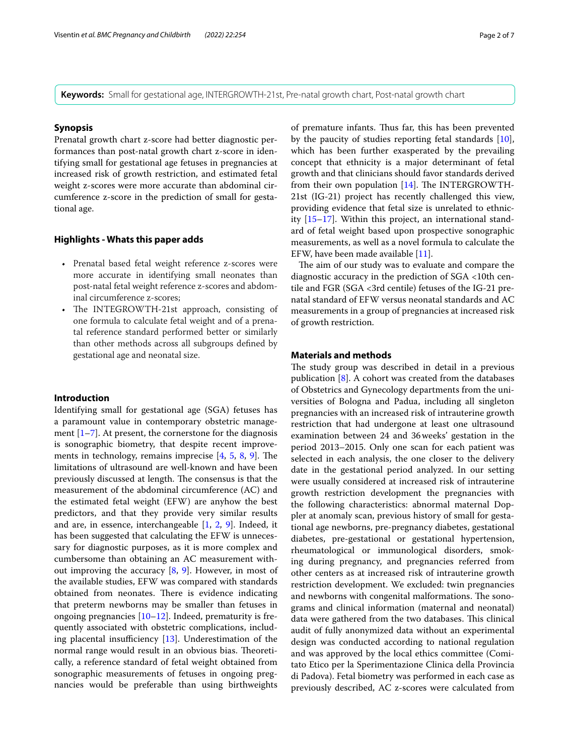**Keywords:** Small for gestational age, INTERGROWTH-21st, Pre-natal growth chart, Post-natal growth chart

#### **Synopsis**

Prenatal growth chart z-score had better diagnostic performances than post-natal growth chart z-score in identifying small for gestational age fetuses in pregnancies at increased risk of growth restriction, and estimated fetal weight z-scores were more accurate than abdominal circumference z-score in the prediction of small for gestational age.

# **Highlights ‑ Whats this paper adds**

- Prenatal based fetal weight reference z-scores were more accurate in identifying small neonates than post-natal fetal weight reference z-scores and abdominal circumference z-scores;
- The INTEGROWTH-21st approach, consisting of one formula to calculate fetal weight and of a prenatal reference standard performed better or similarly than other methods across all subgroups defned by gestational age and neonatal size.

# **Introduction**

Identifying small for gestational age (SGA) fetuses has a paramount value in contemporary obstetric management  $[1–7]$  $[1–7]$  $[1–7]$  $[1–7]$ . At present, the cornerstone for the diagnosis is sonographic biometry, that despite recent improvements in technology, remains imprecise  $[4, 5, 8, 9]$  $[4, 5, 8, 9]$  $[4, 5, 8, 9]$  $[4, 5, 8, 9]$  $[4, 5, 8, 9]$  $[4, 5, 8, 9]$  $[4, 5, 8, 9]$  $[4, 5, 8, 9]$  $[4, 5, 8, 9]$ . The limitations of ultrasound are well-known and have been previously discussed at length. The consensus is that the measurement of the abdominal circumference (AC) and the estimated fetal weight (EFW) are anyhow the best predictors, and that they provide very similar results and are, in essence, interchangeable [\[1](#page-5-0), [2](#page-5-3), [9](#page-6-2)]. Indeed, it has been suggested that calculating the EFW is unnecessary for diagnostic purposes, as it is more complex and cumbersome than obtaining an AC measurement without improving the accuracy  $[8, 9]$  $[8, 9]$  $[8, 9]$  $[8, 9]$  $[8, 9]$ . However, in most of the available studies, EFW was compared with standards obtained from neonates. There is evidence indicating that preterm newborns may be smaller than fetuses in ongoing pregnancies  $[10-12]$  $[10-12]$  $[10-12]$ . Indeed, prematurity is frequently associated with obstetric complications, including placental insufficiency  $[13]$ . Underestimation of the normal range would result in an obvious bias. Theoretically, a reference standard of fetal weight obtained from sonographic measurements of fetuses in ongoing pregnancies would be preferable than using birthweights of premature infants. Thus far, this has been prevented by the paucity of studies reporting fetal standards [\[10](#page-6-3)], which has been further exasperated by the prevailing concept that ethnicity is a major determinant of fetal growth and that clinicians should favor standards derived from their own population  $[14]$  $[14]$ . The INTERGROWTH-21st (IG-21) project has recently challenged this view, providing evidence that fetal size is unrelated to ethnicity [[15–](#page-6-7)[17\]](#page-6-8). Within this project, an international standard of fetal weight based upon prospective sonographic measurements, as well as a novel formula to calculate the EFW, have been made available [\[11\]](#page-6-9).

The aim of our study was to evaluate and compare the diagnostic accuracy in the prediction of SGA <10th centile and FGR (SGA <3rd centile) fetuses of the IG-21 prenatal standard of EFW versus neonatal standards and AC measurements in a group of pregnancies at increased risk of growth restriction.

### **Materials and methods**

The study group was described in detail in a previous publication [[8\]](#page-6-1). A cohort was created from the databases of Obstetrics and Gynecology departments from the universities of Bologna and Padua, including all singleton pregnancies with an increased risk of intrauterine growth restriction that had undergone at least one ultrasound examination between 24 and 36weeks' gestation in the period 2013–2015. Only one scan for each patient was selected in each analysis, the one closer to the delivery date in the gestational period analyzed. In our setting were usually considered at increased risk of intrauterine growth restriction development the pregnancies with the following characteristics: abnormal maternal Doppler at anomaly scan, previous history of small for gestational age newborns, pre-pregnancy diabetes, gestational diabetes, pre-gestational or gestational hypertension, rheumatological or immunological disorders, smoking during pregnancy, and pregnancies referred from other centers as at increased risk of intrauterine growth restriction development. We excluded: twin pregnancies and newborns with congenital malformations. The sonograms and clinical information (maternal and neonatal) data were gathered from the two databases. This clinical audit of fully anonymized data without an experimental design was conducted according to national regulation and was approved by the local ethics committee (Comitato Etico per la Sperimentazione Clinica della Provincia di Padova). Fetal biometry was performed in each case as previously described, AC z-scores were calculated from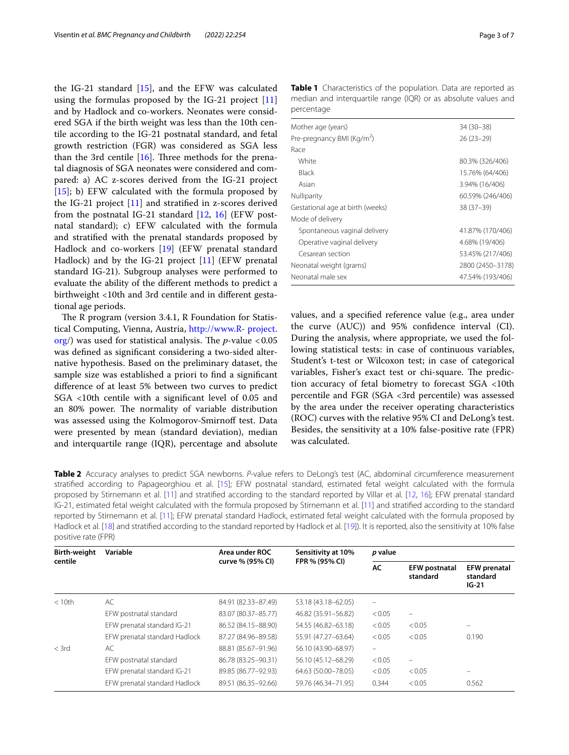the IG-21 standard [\[15](#page-6-7)], and the EFW was calculated using the formulas proposed by the IG-21 project [[11](#page-6-9)] and by Hadlock and co-workers. Neonates were considered SGA if the birth weight was less than the 10th centile according to the IG-21 postnatal standard, and fetal growth restriction (FGR) was considered as SGA less than the 3rd centile  $[16]$  $[16]$ . Three methods for the prenatal diagnosis of SGA neonates were considered and compared: a) AC z-scores derived from the IG-21 project [[15\]](#page-6-7); b) EFW calculated with the formula proposed by the IG-21 project [\[11](#page-6-9)] and stratifed in z-scores derived from the postnatal IG-21 standard [\[12,](#page-6-4) [16\]](#page-6-10) (EFW postnatal standard); c) EFW calculated with the formula and stratifed with the prenatal standards proposed by Hadlock and co-workers [[19](#page-6-11)] (EFW prenatal standard Hadlock) and by the IG-21 project [[11\]](#page-6-9) (EFW prenatal standard IG-21). Subgroup analyses were performed to evaluate the ability of the diferent methods to predict a birthweight <10th and 3rd centile and in diferent gestational age periods.

The R program (version 3.4.1, R Foundation for Statistical Computing, Vienna, Austria, [http://www.R-](http://www.r) [project.](http://project.org)  $\frac{\text{org}}{\text{org}}$  $\frac{\text{org}}{\text{org}}$  $\frac{\text{org}}{\text{org}}$  was used for statistical analysis. The *p*-value <0.05 was defned as signifcant considering a two-sided alternative hypothesis. Based on the preliminary dataset, the sample size was established a priori to fnd a signifcant diference of at least 5% between two curves to predict SGA <10th centile with a signifcant level of 0.05 and an 80% power. The normality of variable distribution was assessed using the Kolmogorov-Smirnoff test. Data were presented by mean (standard deviation), median and interquartile range (IQR), percentage and absolute <span id="page-2-0"></span>**Table 1** Characteristics of the population. Data are reported as median and interquartile range (IQR) or as absolute values and percentage

| Mother age (years)                     | 34 (30 - 38)     |
|----------------------------------------|------------------|
| Pre-pregnancy BMI (Kg/m <sup>2</sup> ) | $26(23-29)$      |
| Race                                   |                  |
| White                                  | 80.3% (326/406)  |
| Black                                  | 15.76% (64/406)  |
| Asian                                  | 3.94% (16/406)   |
| Nulliparity                            | 60.59% (246/406) |
| Gestational age at birth (weeks)       | $38(37-39)$      |
| Mode of delivery                       |                  |
| Spontaneous vaginal delivery           | 41.87% (170/406) |
| Operative vaginal delivery             | 4.68% (19/406)   |
| Cesarean section                       | 53.45% (217/406) |
| Neonatal weight (grams)                | 2800 (2450-3178) |
| Neonatal male sex                      | 47.54% (193/406) |

values, and a specifed reference value (e.g., area under the curve (AUC)) and 95% confdence interval (CI). During the analysis, where appropriate, we used the following statistical tests: in case of continuous variables, Student's t-test or Wilcoxon test; in case of categorical variables, Fisher's exact test or chi-square. The prediction accuracy of fetal biometry to forecast SGA <10th percentile and FGR (SGA <3rd percentile) was assessed by the area under the receiver operating characteristics (ROC) curves with the relative 95% CI and DeLong's test. Besides, the sensitivity at a 10% false-positive rate (FPR) was calculated.

<span id="page-2-1"></span>**Table 2** Accuracy analyses to predict SGA newborns. *P*-value refers to DeLong's test (AC, abdominal circumference measurement stratifed according to Papageorghiou et al. [\[15\]](#page-6-7); EFW postnatal standard, estimated fetal weight calculated with the formula proposed by Stirnemann et al. [[11\]](#page-6-9) and stratifed according to the standard reported by Villar et al. [[12,](#page-6-4) [16\]](#page-6-10); EFW prenatal standard IG-21, estimated fetal weight calculated with the formula proposed by Stirnemann et al. [[11\]](#page-6-9) and stratifed according to the standard reported by Stirnemann et al. [[11\]](#page-6-9); EFW prenatal standard Hadlock, estimated fetal weight calculated with the formula proposed by Hadlock et al. [[18\]](#page-6-12) and stratifed according to the standard reported by Hadlock et al. [[19](#page-6-11)]). It is reported, also the sensitivity at 10% false positive rate (FPR)

| <b>Birth-weight</b><br>centile | Variable                      | Area under ROC<br>curve % (95% CI) | Sensitivity at 10%<br>FPR % (95% CI) | p value           |                                  |                                            |
|--------------------------------|-------------------------------|------------------------------------|--------------------------------------|-------------------|----------------------------------|--------------------------------------------|
|                                |                               |                                    |                                      | AC                | <b>EFW postnatal</b><br>standard | <b>EFW</b> prenatal<br>standard<br>$IG-21$ |
| < 10th                         | AC                            | 84.91 (82.33-87.49)                | 53.18 (43.18-62.05)                  | -                 |                                  |                                            |
|                                | EFW postnatal standard        | 83.07 (80.37-85.77)                | 46.82 (35.91-56.82)                  | < 0.05            | $\qquad \qquad \longleftarrow$   |                                            |
|                                | EFW prenatal standard IG-21   | 86.52 (84.15-88.90)                | 54.55 (46.82-63.18)                  | < 0.05            | < 0.05                           | $\equiv$                                   |
|                                | EFW prenatal standard Hadlock | 87.27 (84.96-89.58)                | 55.91 (47.27-63.64)                  | < 0.05            | < 0.05                           | 0.190                                      |
| $<$ 3rd                        | AC                            | 88.81 (85.67-91.96)                | 56.10 (43.90-68.97)                  | $\qquad \qquad -$ |                                  |                                            |
|                                | EFW postnatal standard        | 86.78 (83.25-90.31)                | 56.10 (45.12-68.29)                  | < 0.05            | $\overline{\phantom{0}}$         |                                            |
|                                | EFW prenatal standard IG-21   | 89.85 (86.77-92.93)                | 64.63 (50.00-78.05)                  | < 0.05            | < 0.05                           | -                                          |
|                                | EFW prenatal standard Hadlock | 89.51 (86.35-92.66)                | 59.76 (46.34-71.95)                  | 0.344             | < 0.05                           | 0.562                                      |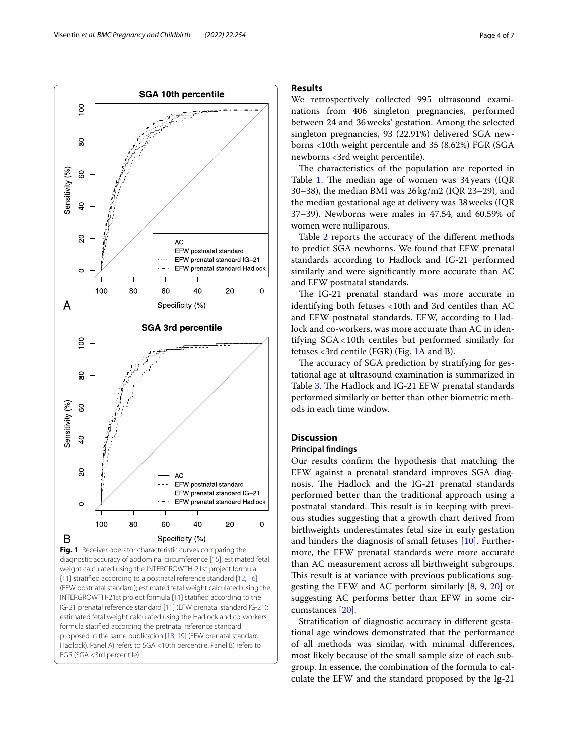

<span id="page-3-0"></span>proposed in the same publication [[18](#page-6-12), [19](#page-6-11)] (EFW prenatal standard Hadlock). Panel A) refers to SGA <10th percentile. Panel B) refers to

FGR (SGA <3rd percentile)

#### **Results**

We retrospectively collected 995 ultrasound examinations from 406 singleton pregnancies, performed between 24 and 36weeks' gestation. Among the selected singleton pregnancies, 93 (22.91%) delivered SGA newborns <10th weight percentile and 35 (8.62%) FGR (SGA newborns <3rd weight percentile).

The characteristics of the population are reported in Table [1](#page-2-0). The median age of women was 34 years (IQR 30–38), the median BMI was 26kg/m2 (IQR 23–29), and the median gestational age at delivery was 38weeks (IQR 37–39). Newborns were males in 47.54, and 60.59% of women were nulliparous.

Table [2](#page-2-1) reports the accuracy of the diferent methods to predict SGA newborns. We found that EFW prenatal standards according to Hadlock and IG-21 performed similarly and were signifcantly more accurate than AC and EFW postnatal standards.

The IG-21 prenatal standard was more accurate in identifying both fetuses <10th and 3rd centiles than AC and EFW postnatal standards. EFW, according to Hadlock and co-workers, was more accurate than AC in identifying SGA<10th centiles but performed similarly for fetuses <3rd centile (FGR) (Fig. [1A](#page-3-0) and B).

The accuracy of SGA prediction by stratifying for gestational age at ultrasound examination is summarized in Table [3](#page-4-0). The Hadlock and IG-21 EFW prenatal standards performed similarly or better than other biometric methods in each time window.

# **Discussion**

#### **Principal fndings**

Our results confrm the hypothesis that matching the EFW against a prenatal standard improves SGA diagnosis. The Hadlock and the IG-21 prenatal standards performed better than the traditional approach using a postnatal standard. This result is in keeping with previous studies suggesting that a growth chart derived from birthweights underestimates fetal size in early gestation and hinders the diagnosis of small fetuses [[10\]](#page-6-3). Furthermore, the EFW prenatal standards were more accurate than AC measurement across all birthweight subgroups. This result is at variance with previous publications suggesting the EFW and AC perform similarly [\[8](#page-6-1), [9,](#page-6-2) [20](#page-6-13)] or suggesting AC performs better than EFW in some circumstances [[20\]](#page-6-13).

Stratifcation of diagnostic accuracy in diferent gestational age windows demonstrated that the performance of all methods was similar, with minimal diferences, most likely because of the small sample size of each subgroup. In essence, the combination of the formula to calculate the EFW and the standard proposed by the Ig-21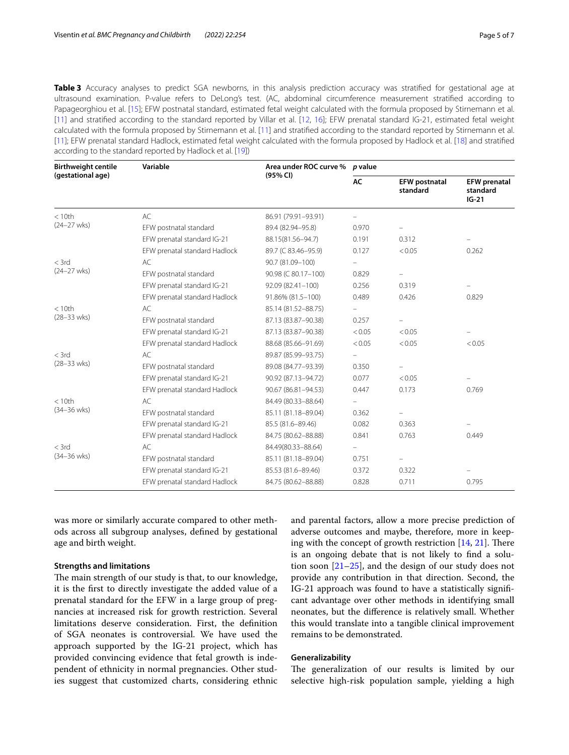<span id="page-4-0"></span>**Table 3** Accuracy analyses to predict SGA newborns, in this analysis prediction accuracy was stratifed for gestational age at ultrasound examination. P-value refers to DeLong's test. (AC, abdominal circumference measurement stratifed according to Papageorghiou et al. [\[15](#page-6-7)]; EFW postnatal standard, estimated fetal weight calculated with the formula proposed by Stirnemann et al. [\[11\]](#page-6-9) and stratifed according to the standard reported by Villar et al. [[12](#page-6-4), [16\]](#page-6-10); EFW prenatal standard IG-21, estimated fetal weight calculated with the formula proposed by Stirnemann et al. [[11\]](#page-6-9) and stratifed according to the standard reported by Stirnemann et al. [\[11\]](#page-6-9); EFW prenatal standard Hadlock, estimated fetal weight calculated with the formula proposed by Hadlock et al. [[18\]](#page-6-12) and stratifed according to the standard reported by Hadlock et al. [[19\]](#page-6-11))

| <b>Birthweight centile</b><br>(gestational age) | Variable                      | Area under ROC curve %<br>(95% CI) | p value           |                                  |                                            |  |
|-------------------------------------------------|-------------------------------|------------------------------------|-------------------|----------------------------------|--------------------------------------------|--|
|                                                 |                               |                                    | AC                | <b>EFW postnatal</b><br>standard | <b>EFW</b> prenatal<br>standard<br>$IG-21$ |  |
| < 10th<br>$(24 - 27$ wks)                       | AC                            | 86.91 (79.91-93.91)                |                   |                                  |                                            |  |
|                                                 | EFW postnatal standard        | 89.4 (82.94-95.8)                  | 0.970             |                                  |                                            |  |
|                                                 | EFW prenatal standard IG-21   | 88.15(81.56-94.7)                  | 0.191             | 0.312                            |                                            |  |
|                                                 | EFW prenatal standard Hadlock | 89.7 (C 83.46-95.9)                | 0.127             | < 0.05                           | 0.262                                      |  |
| $<$ 3rd<br>$(24 - 27$ wks)                      | AC                            | 90.7 (81.09-100)                   |                   |                                  |                                            |  |
|                                                 | EFW postnatal standard        | 90.98 (C 80.17-100)                | 0.829             |                                  |                                            |  |
|                                                 | EFW prenatal standard IG-21   | 92.09 (82.41-100)                  | 0.256             | 0.319                            |                                            |  |
|                                                 | EFW prenatal standard Hadlock | 91.86% (81.5-100)                  | 0.489             | 0.426                            | 0.829                                      |  |
| < 10th                                          | AC                            | 85.14 (81.52-88.75)                | $\qquad \qquad -$ |                                  |                                            |  |
| $(28 - 33 \text{ wks})$                         | EFW postnatal standard        | 87.13 (83.87-90.38)                | 0.257             |                                  |                                            |  |
|                                                 | EFW prenatal standard IG-21   | 87.13 (83.87-90.38)                | < 0.05            | < 0.05                           |                                            |  |
|                                                 | EFW prenatal standard Hadlock | 88.68 (85.66-91.69)                | < 0.05            | < 0.05                           | < 0.05                                     |  |
| $<$ 3rd                                         | AC                            | 89.87 (85.99-93.75)                |                   |                                  |                                            |  |
| $(28 - 33 \text{ wks})$                         | EFW postnatal standard        | 89.08 (84.77-93.39)                | 0.350             |                                  |                                            |  |
|                                                 | EFW prenatal standard IG-21   | 90.92 (87.13-94.72)                | 0.077             | < 0.05                           |                                            |  |
|                                                 | EFW prenatal standard Hadlock | 90.67 (86.81-94.53)                | 0.447             | 0.173                            | 0.769                                      |  |
| < 10th                                          | AC                            | 84.49 (80.33-88.64)                |                   |                                  |                                            |  |
| $(34 - 36 \text{ wks})$                         | EFW postnatal standard        | 85.11 (81.18-89.04)                | 0.362             | $\overline{\phantom{m}}$         |                                            |  |
|                                                 | EFW prenatal standard IG-21   | 85.5 (81.6-89.46)                  | 0.082             | 0.363                            |                                            |  |
|                                                 | EFW prenatal standard Hadlock | 84.75 (80.62-88.88)                | 0.841             | 0.763                            | 0.449                                      |  |
| $<$ 3rd                                         | AC                            | 84.49(80.33-88.64)                 |                   |                                  |                                            |  |
| $(34 - 36 \text{ wks})$                         | EFW postnatal standard        | 85.11 (81.18-89.04)                | 0.751             | -                                |                                            |  |
|                                                 | EFW prenatal standard IG-21   | 85.53 (81.6-89.46)                 | 0.372             | 0.322                            |                                            |  |
|                                                 | EFW prenatal standard Hadlock | 84.75 (80.62-88.88)                | 0.828             | 0.711                            | 0.795                                      |  |

was more or similarly accurate compared to other methods across all subgroup analyses, defned by gestational age and birth weight.

# **Strengths and limitations**

The main strength of our study is that, to our knowledge, it is the frst to directly investigate the added value of a prenatal standard for the EFW in a large group of pregnancies at increased risk for growth restriction. Several limitations deserve consideration. First, the defnition of SGA neonates is controversial. We have used the approach supported by the IG-21 project, which has provided convincing evidence that fetal growth is independent of ethnicity in normal pregnancies. Other studies suggest that customized charts, considering ethnic

and parental factors, allow a more precise prediction of adverse outcomes and maybe, therefore, more in keeping with the concept of growth restriction  $[14, 21]$  $[14, 21]$  $[14, 21]$  $[14, 21]$  $[14, 21]$ . There is an ongoing debate that is not likely to fnd a solution soon [\[21](#page-6-14)[–25](#page-6-15)], and the design of our study does not provide any contribution in that direction. Second, the IG-21 approach was found to have a statistically signifcant advantage over other methods in identifying small neonates, but the diference is relatively small. Whether this would translate into a tangible clinical improvement remains to be demonstrated.

# **Generalizability**

The generalization of our results is limited by our selective high-risk population sample, yielding a high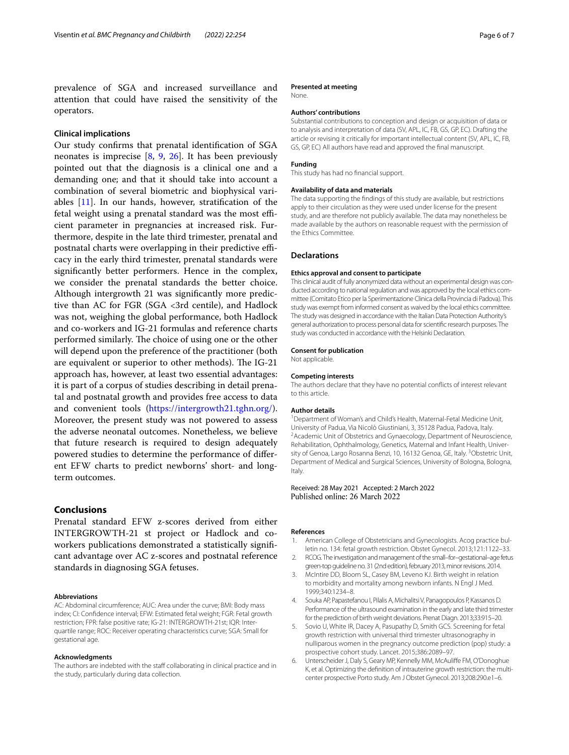prevalence of SGA and increased surveillance and attention that could have raised the sensitivity of the operators.

# **Clinical implications**

Our study confrms that prenatal identifcation of SGA neonates is imprecise [[8,](#page-6-1) [9,](#page-6-2) [26\]](#page-6-16). It has been previously pointed out that the diagnosis is a clinical one and a demanding one; and that it should take into account a combination of several biometric and biophysical variables [[11\]](#page-6-9). In our hands, however, stratifcation of the fetal weight using a prenatal standard was the most efficient parameter in pregnancies at increased risk. Furthermore, despite in the late third trimester, prenatal and postnatal charts were overlapping in their predictive efficacy in the early third trimester, prenatal standards were signifcantly better performers. Hence in the complex, we consider the prenatal standards the better choice. Although intergrowth 21 was signifcantly more predictive than AC for FGR (SGA <3rd centile), and Hadlock was not, weighing the global performance, both Hadlock and co-workers and IG-21 formulas and reference charts performed similarly. The choice of using one or the other will depend upon the preference of the practitioner (both are equivalent or superior to other methods). The IG-21 approach has, however, at least two essential advantages: it is part of a corpus of studies describing in detail prenatal and postnatal growth and provides free access to data and convenient tools (<https://intergrowth21.tghn.org/>). Moreover, the present study was not powered to assess the adverse neonatal outcomes. Nonetheless, we believe that future research is required to design adequately powered studies to determine the performance of diferent EFW charts to predict newborns' short- and longterm outcomes.

# **Conclusions**

Prenatal standard EFW z-scores derived from either INTERGROWTH-21 st project or Hadlock and coworkers publications demonstrated a statistically signifcant advantage over AC z-scores and postnatal reference standards in diagnosing SGA fetuses.

#### **Abbreviations**

AC: Abdominal circumference; AUC: Area under the curve; BMI: Body mass index; CI: Confdence interval; EFW: Estimated fetal weight; FGR: Fetal growth restriction; FPR: false positive rate; IG-21: INTERGROWTH-21st; IQR: Interquartile range; ROC: Receiver operating characteristics curve; SGA: Small for gestational age.

#### **Acknowledgments**

The authors are indebted with the staff collaborating in clinical practice and in the study, particularly during data collection.

#### **Presented at meeting**

None.

#### **Authors' contributions**

Substantial contributions to conception and design or acquisition of data or to analysis and interpretation of data (SV, APL, IC, FB, GS, GP, EC). Drafting the article or revising it critically for important intellectual content (SV, APL, IC, FB, GS, GP, EC) All authors have read and approved the fnal manuscript.

#### **Funding**

This study has had no fnancial support.

#### **Availability of data and materials**

The data supporting the fndings of this study are available, but restrictions apply to their circulation as they were used under license for the present study, and are therefore not publicly available. The data may nonetheless be made available by the authors on reasonable request with the permission of the Ethics Committee.

#### **Declarations**

#### **Ethics approval and consent to participate**

This clinical audit of fully anonymized data without an experimental design was conducted according to national regulation and was approved by the local ethics committee (Comitato Etico per la Sperimentazione Clinica della Provincia di Padova). This study was exempt from informed consent as waived by the local ethics committee. The study was designed in accordance with the Italian Data Protection Authority's general authorization to process personal data for scientifc research purposes. The study was conducted in accordance with the Helsinki Declaration.

#### **Consent for publication**

Not applicable.

#### **Competing interests**

The authors declare that they have no potential conficts of interest relevant to this article.

#### **Author details**

<sup>1</sup> Department of Woman's and Child's Health, Maternal-Fetal Medicine Unit, University of Padua, Via Nicolò Giustiniani, 3, 35128 Padua, Padova, Italy. 2 <sup>2</sup> Academic Unit of Obstetrics and Gynaecology, Department of Neuroscience, Rehabilitation, Ophthalmology, Genetics, Maternal and Infant Health, University of Genoa, Largo Rosanna Benzi, 10, 16132 Genoa, GE, Italy. <sup>3</sup>Obstetric Unit, Department of Medical and Surgical Sciences, University of Bologna, Bologna, Italy.

# Received: 28 May 2021 Accepted: 2 March 2022

#### **References**

- <span id="page-5-0"></span>1. American College of Obstetricians and Gynecologists. Acog practice bulletin no. 134: fetal growth restriction. Obstet Gynecol. 2013;121:1122–33.
- <span id="page-5-3"></span>2. RCOG. The investigation and management of the small–for–gestational–age fetus green-top guideline no. 31 (2nd edition), february 2013, minor revisions. 2014.
- 3. McIntire DD, Bloom SL, Casey BM, Leveno KJ. Birth weight in relation to morbidity and mortality among newborn infants. N Engl J Med. 1999;340:1234–8.
- <span id="page-5-1"></span>4. Souka AP, Papastefanou I, Pilalis A, Michalitsi V, Panagopoulos P, Kassanos D. Performance of the ultrasound examination in the early and late third trimester for the prediction of birth weight deviations. Prenat Diagn. 2013;33:915–20.
- <span id="page-5-2"></span>5. Sovio U, White IR, Dacey A, Pasupathy D, Smith GCS. Screening for fetal growth restriction with universal third trimester ultrasonography in nulliparous women in the pregnancy outcome prediction (pop) study: a prospective cohort study. Lancet. 2015;386:2089–97.
- 6. Unterscheider J, Daly S, Geary MP, Kennelly MM, McAulife FM, O'Donoghue K, et al. Optimizing the defnition of intrauterine growth restriction: the multicenter prospective Porto study. Am J Obstet Gynecol. 2013;208:290.e1–6.